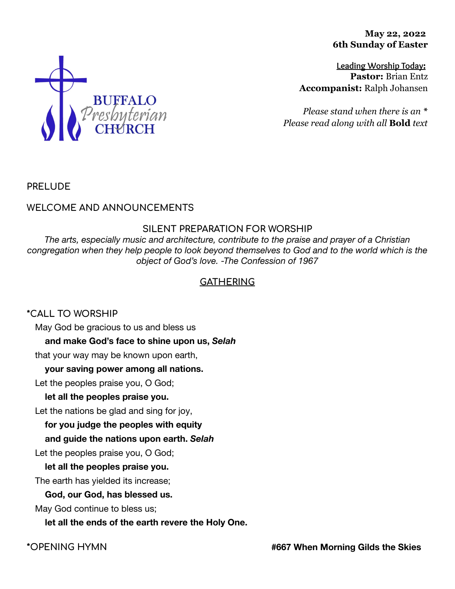**May 22, 2022 6th Sunday of Easter**

**Leading Worship Today: Pastor:** Brian Entz **Accompanist:** Ralph Johansen

*Please stand when there is an \* Please read along with all* **Bold** *text*



## **WELCOME AND ANNOUNCEMENTS**

### **SILENT PREPARATION FOR WORSHIP**

*The arts, especially music and architecture, contribute to the praise and prayer of a Christian congregation when they help people to look beyond themselves to God and to the world which is the object of God's love. -The Confession of 1967*

## **GATHERING**

### **\*CALL TO WORSHIP**

May God be gracious to us and bless us

### **and make God's face to shine upon us,** *Selah*

that your way may be known upon earth,

### **your saving power among all nations.**

Let the peoples praise you, O God;

### **let all the peoples praise you.**

Let the nations be glad and sing for joy,

**for you judge the peoples with equity**

### **and guide the nations upon earth.** *Selah*

Let the peoples praise you, O God;

### **let all the peoples praise you.**

The earth has yielded its increase;

### **God, our God, has blessed us.**

May God continue to bless us;

### **let all the ends of the earth revere the Holy One.**

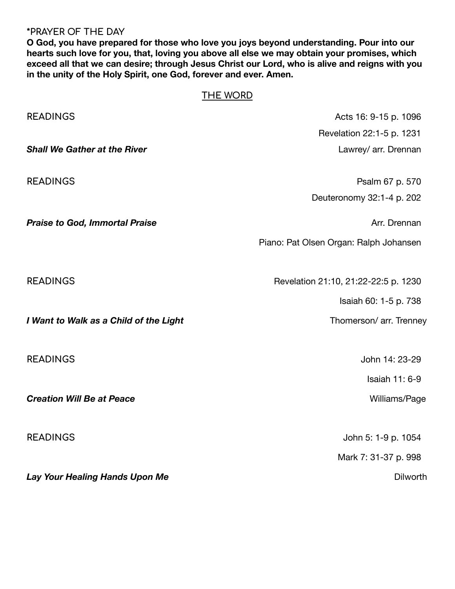## **\*PRAYER OF THE DAY**

**O God, you have prepared for those who love you joys beyond understanding. Pour into our hearts such love for you, that, loving you above all else we may obtain your promises, which exceed all that we can desire; through Jesus Christ our Lord, who is alive and reigns with you in the unity of the Holy Spirit, one God, forever and ever. Amen.**

# **THE WORD**

| <b>READINGS</b>                        | Acts 16: 9-15 p. 1096                  |
|----------------------------------------|----------------------------------------|
|                                        | Revelation 22:1-5 p. 1231              |
| <b>Shall We Gather at the River</b>    | Lawrey/ arr. Drennan                   |
| <b>READINGS</b>                        | Psalm 67 p. 570                        |
|                                        | Deuteronomy 32:1-4 p. 202              |
| <b>Praise to God, Immortal Praise</b>  | Arr. Drennan                           |
|                                        | Piano: Pat Olsen Organ: Ralph Johansen |
| <b>READINGS</b>                        | Revelation 21:10, 21:22-22:5 p. 1230   |
|                                        | Isaiah 60: 1-5 p. 738                  |
| I Want to Walk as a Child of the Light | Thomerson/ arr. Trenney                |
| <b>READINGS</b>                        | John 14: 23-29                         |
|                                        | <b>Isaiah 11: 6-9</b>                  |
| <b>Creation Will Be at Peace</b>       | Williams/Page                          |
| <b>READINGS</b>                        | John 5: 1-9 p. 1054                    |
|                                        | Mark 7: 31-37 p. 998                   |
| Lay Your Healing Hands Upon Me         | Dilworth                               |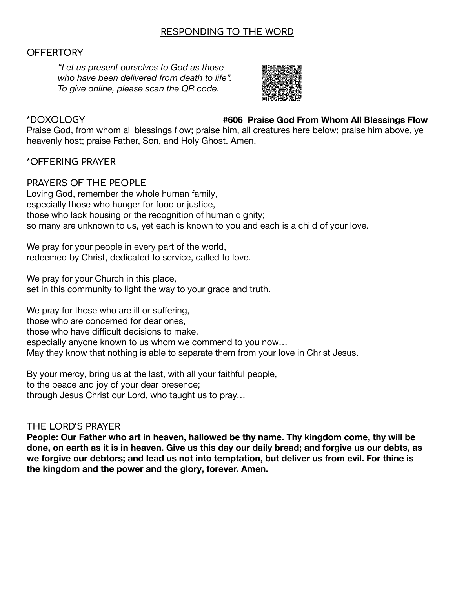## **RESPONDING TO THE WORD**

### **OFFERTORY**

*"Let us present ourselves to God as those who have been delivered from death to life". To give online, please scan the QR code.*



### **\*DOXOLOGY #606 Praise God From Whom All Blessings Flow**

Praise God, from whom all blessings flow; praise him, all creatures here below; praise him above, ye heavenly host; praise Father, Son, and Holy Ghost. Amen.

### **\*OFFERING PRAYER**

## **PRAYERS OF THE PEOPLE**

Loving God, remember the whole human family, especially those who hunger for food or justice, those who lack housing or the recognition of human dignity; so many are unknown to us, yet each is known to you and each is a child of your love.

We pray for your people in every part of the world, redeemed by Christ, dedicated to service, called to love.

We pray for your Church in this place,

set in this community to light the way to your grace and truth.

We pray for those who are ill or suffering, those who are concerned for dear ones, those who have difficult decisions to make, especially anyone known to us whom we commend to you now… May they know that nothing is able to separate them from your love in Christ Jesus.

By your mercy, bring us at the last, with all your faithful people, to the peace and joy of your dear presence; through Jesus Christ our Lord, who taught us to pray…

### **THE LORD'S PRAYER**

**People: Our Father who art in heaven, hallowed be thy name. Thy kingdom come, thy will be done, on earth as it is in heaven. Give us this day our daily bread; and forgive us our debts, as we forgive our debtors; and lead us not into temptation, but deliver us from evil. For thine is the kingdom and the power and the glory, forever. Amen.**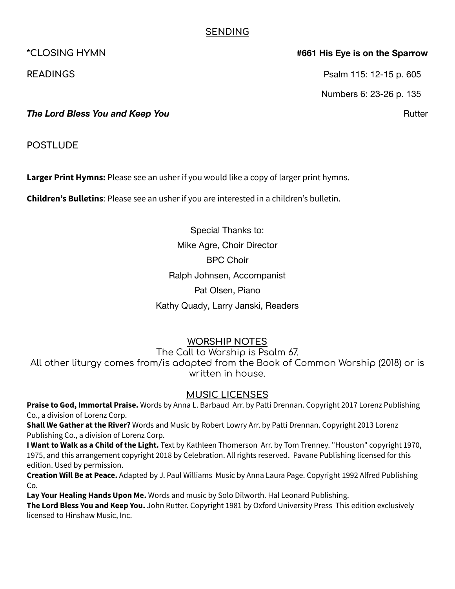## **SENDING**

### **\*CLOSING HYMN #661 His Eye is on the Sparrow**

**READINGS** Psalm 115: 12-15 p. 605

Numbers 6: 23-26 p. 135

**The Lord Bless You and Keep You Rutter Research And American Control Research Rutter Rutter** 

**POSTLUDE**

**Larger Print Hymns:** Please see an usher if you would like a copy of larger print hymns.

**Children's Bulletins**: Please see an usher if you are interested in a children's bulletin.

Special Thanks to: Mike Agre, Choir Director BPC Choir Ralph Johnsen, Accompanist Pat Olsen, Piano Kathy Quady, Larry Janski, Readers

## **WORSHIP NOTES**

The Call to Worship is Psalm 67.

All other liturgy comes from/is adapted from the Book of Common Worship (2018) or is written in house.

## **MUSIC LICENSES**

**Praise to God, Immortal Praise.** Words by Anna L. Barbaud Arr. by Patti Drennan. Copyright 2017 Lorenz Publishing Co., a division of Lorenz Corp.

**Shall We Gather at the River?** Words and Music by Robert Lowry Arr. by Patti Drennan. Copyright 2013 Lorenz Publishing Co., a division of Lorenz Corp.

**I Want to Walk as a Child of the Light.** Text by Kathleen Thomerson Arr. by Tom Trenney. "Houston" copyright 1970, 1975, and this arrangement copyright 2018 by Celebration. All rights reserved. Pavane Publishing licensed for this edition. Used by permission.

**Creation Will Be at Peace.** Adapted by J. Paul Williams Music by Anna Laura Page. Copyright 1992 Alfred Publishing Co.

**Lay Your Healing Hands Upon Me.** Words and music by Solo Dilworth. Hal Leonard Publishing.

**The Lord Bless You and Keep You.** John Rutter. Copyright 1981 by Oxford University Press This edition exclusively licensed to Hinshaw Music, Inc.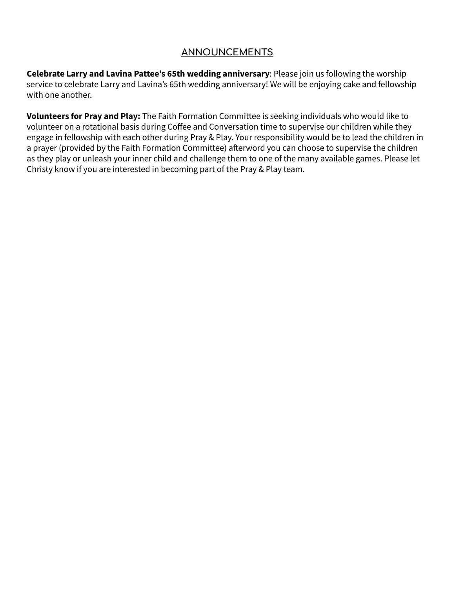# **ANNOUNCEMENTS**

**Celebrate Larry and Lavina Pattee's 65th wedding anniversary**: Please join us following the worship service to celebrate Larry and Lavina's 65th wedding anniversary! We will be enjoying cake and fellowship with one another.

**Volunteers for Pray and Play:** The Faith Formation Committee is seeking individuals who would like to volunteer on a rotational basis during Coffee and Conversation time to supervise our children while they engage in fellowship with each other during Pray & Play. Your responsibility would be to lead the children in a prayer (provided by the Faith Formation Committee) afterword you can choose to supervise the children as they play or unleash your inner child and challenge them to one of the many available games. Please let Christy know if you are interested in becoming part of the Pray & Play team.